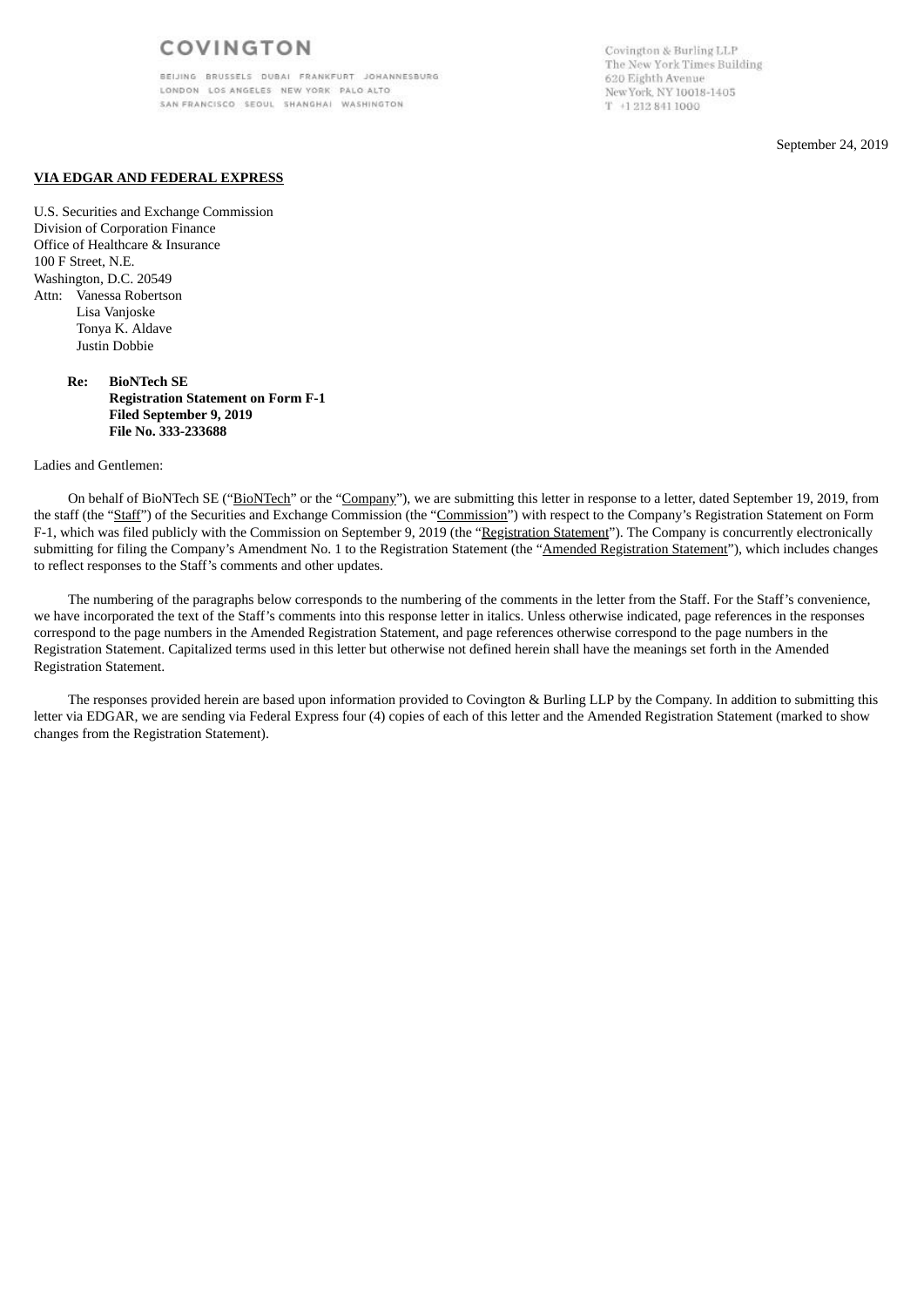BELJING BRUSSELS DUBAI FRANKFURT JOHANNESBURG LONDON LOS ANGELES NEW YORK PALO ALTO SAN FRANCISCO SEOUL SHANGHAI WASHINGTON

Covington & Burling LLP The New York Times Building 620 Eighth Avenue New York, NY 10018-1405  $T$  +1 212 841 1000

September 24, 2019

### **VIA EDGAR AND FEDERAL EXPRESS**

U.S. Securities and Exchange Commission Division of Corporation Finance Office of Healthcare & Insurance 100 F Street, N.E. Washington, D.C. 20549 Attn: Vanessa Robertson Lisa Vanjoske Tonya K. Aldave Justin Dobbie

### **Re: BioNTech SE Registration Statement on Form F-1 Filed September 9, 2019 File No. 333-233688**

#### Ladies and Gentlemen:

On behalf of BioNTech SE ("BioNTech" or the "Company"), we are submitting this letter in response to a letter, dated September 19, 2019, from the staff (the "Staff") of the Securities and Exchange Commission (the "Commission") with respect to the Company's Registration Statement on Form F-1, which was filed publicly with the Commission on September 9, 2019 (the "Registration Statement"). The Company is concurrently electronically submitting for filing the Company's Amendment No. 1 to the Registration Statement (the "Amended Registration Statement"), which includes changes to reflect responses to the Staff's comments and other updates.

The numbering of the paragraphs below corresponds to the numbering of the comments in the letter from the Staff. For the Staff's convenience, we have incorporated the text of the Staff's comments into this response letter in italics. Unless otherwise indicated, page references in the responses correspond to the page numbers in the Amended Registration Statement, and page references otherwise correspond to the page numbers in the Registration Statement. Capitalized terms used in this letter but otherwise not defined herein shall have the meanings set forth in the Amended Registration Statement.

The responses provided herein are based upon information provided to Covington & Burling LLP by the Company. In addition to submitting this letter via EDGAR, we are sending via Federal Express four (4) copies of each of this letter and the Amended Registration Statement (marked to show changes from the Registration Statement).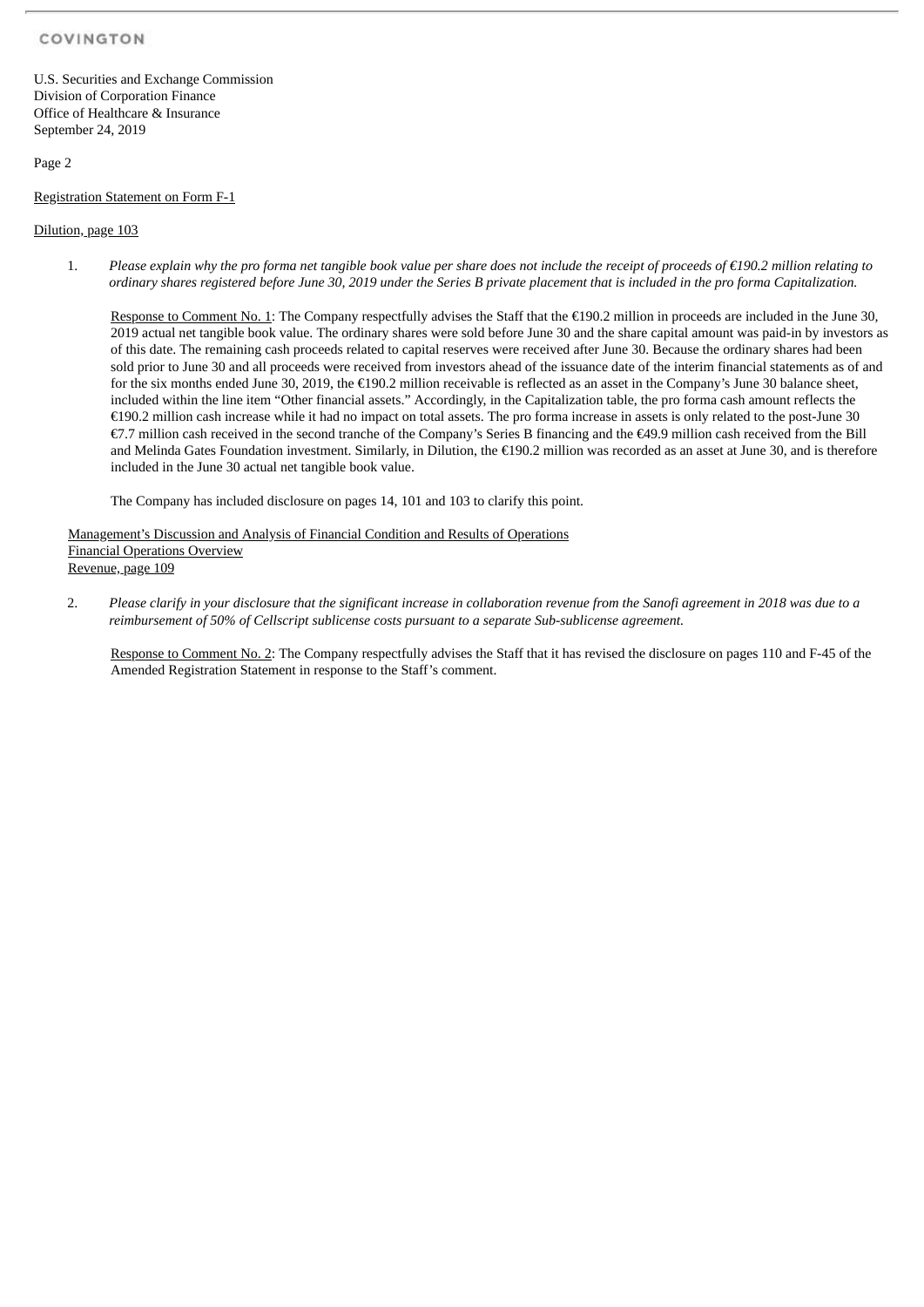U.S. Securities and Exchange Commission Division of Corporation Finance Office of Healthcare & Insurance September 24, 2019

# Page 2

Registration Statement on Form F-1

# Dilution, page 103

1. Please explain why the pro forma net tangible book value per share does not include the receipt of proceeds of  $\epsilon$ 190.2 million relating to ordinary shares registered before June 30, 2019 under the Series B private placement that is included in the pro forma Capitalization.

Response to Comment No. 1: The Company respectfully advises the Staff that the €190.2 million in proceeds are included in the June 30, 2019 actual net tangible book value. The ordinary shares were sold before June 30 and the share capital amount was paid-in by investors as of this date. The remaining cash proceeds related to capital reserves were received after June 30. Because the ordinary shares had been sold prior to June 30 and all proceeds were received from investors ahead of the issuance date of the interim financial statements as of and for the six months ended June 30, 2019, the €190.2 million receivable is reflected as an asset in the Company's June 30 balance sheet, included within the line item "Other financial assets." Accordingly, in the Capitalization table, the pro forma cash amount reflects the €190.2 million cash increase while it had no impact on total assets. The pro forma increase in assets is only related to the post-June 30 €7.7 million cash received in the second tranche of the Company's Series B financing and the €49.9 million cash received from the Bill and Melinda Gates Foundation investment. Similarly, in Dilution, the €190.2 million was recorded as an asset at June 30, and is therefore included in the June 30 actual net tangible book value.

The Company has included disclosure on pages 14, 101 and 103 to clarify this point.

Management's Discussion and Analysis of Financial Condition and Results of Operations Financial Operations Overview Revenue, page 109

2. Please clarify in your disclosure that the significant increase in collaboration revenue from the Sanofi agreement in 2018 was due to a *reimbursement of 50% of Cellscript sublicense costs pursuant to a separate Sub-sublicense agreement.*

Response to Comment No. 2: The Company respectfully advises the Staff that it has revised the disclosure on pages 110 and F-45 of the Amended Registration Statement in response to the Staff's comment.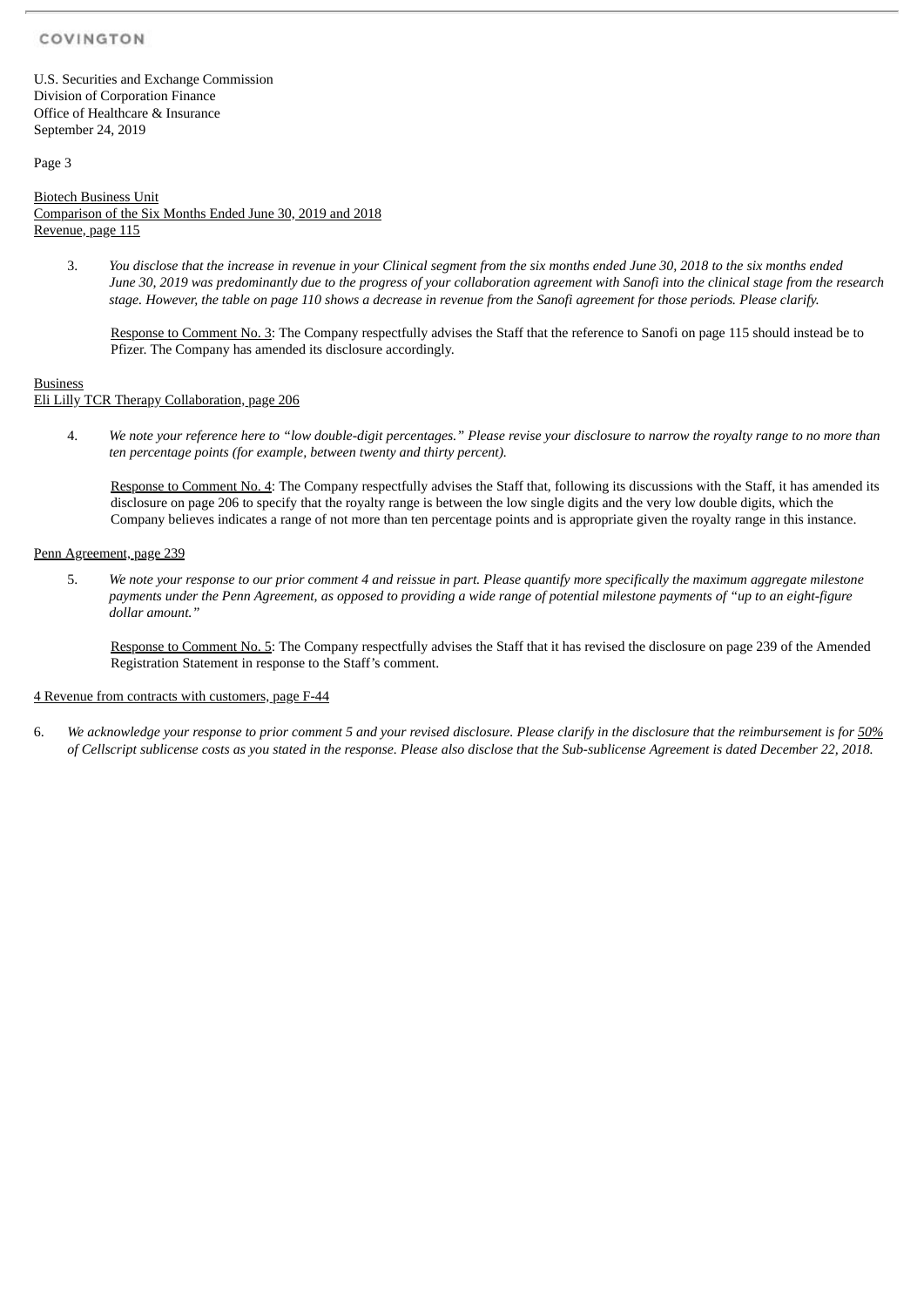U.S. Securities and Exchange Commission Division of Corporation Finance Office of Healthcare & Insurance September 24, 2019

Page 3

Biotech Business Unit Comparison of the Six Months Ended June 30, 2019 and 2018 Revenue, page 115

3. You disclose that the increase in revenue in your Clinical seament from the six months ended June 30, 2018 to the six months ended June 30, 2019 was predominantly due to the progress of your collaboration agreement with Sanofi into the clinical stage from the research stage. However, the table on page 110 shows a decrease in revenue from the Sanofi agreement for those periods. Please clarify.

Response to Comment No. 3: The Company respectfully advises the Staff that the reference to Sanofi on page 115 should instead be to Pfizer. The Company has amended its disclosure accordingly.

**Business** 

Eli Lilly TCR Therapy Collaboration, page 206

4. We note vour reference here to "low double-digit percentages." Please revise vour disclosure to narrow the rovalty range to no more than *ten percentage points (for example, between twenty and thirty percent).*

Response to Comment No. 4: The Company respectfully advises the Staff that, following its discussions with the Staff, it has amended its disclosure on page 206 to specify that the royalty range is between the low single digits and the very low double digits, which the Company believes indicates a range of not more than ten percentage points and is appropriate given the royalty range in this instance.

### Penn Agreement, page 239

5. We note your response to our prior comment 4 and reissue in part. Please quantify more specifically the maximum aggregate milestone payments under the Penn Agreement, as opposed to providing a wide range of potential milestone payments of "up to an eight-figure *dollar amount."*

Response to Comment No. 5: The Company respectfully advises the Staff that it has revised the disclosure on page 239 of the Amended Registration Statement in response to the Staff's comment.

### 4 Revenue from contracts with customers, page F-44

6. We acknowledge your response to prior comment 5 and your revised disclosure. Please clarify in the disclosure that the reimbursement is for 50% of Cellscript sublicense costs as you stated in the response. Please also disclose that the Sub-sublicense Agreement is dated December 22, 2018.